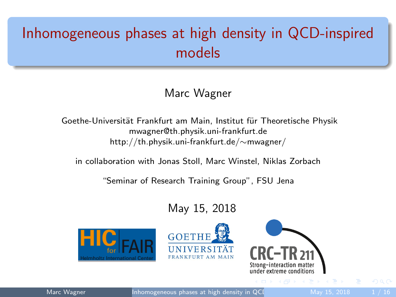# <span id="page-0-0"></span>Inhomogeneous phases at high density in QCD-inspired models

#### Marc Wagner

Goethe-Universität Frankfurt am Main, Institut für Theoretische Physik mwagner@th.physik.uni-frankfurt.de http://th.physik.uni-frankfurt.de/∼mwagner/

in collaboration with Jonas Stoll, Marc Winstel, Niklas Zorbach

"Seminar of Research Training Group", FSU Jena

#### May 15, 2018







Marc Wagner **Inhomogeneous phases at high density in QCD** May 15, 2018 1/16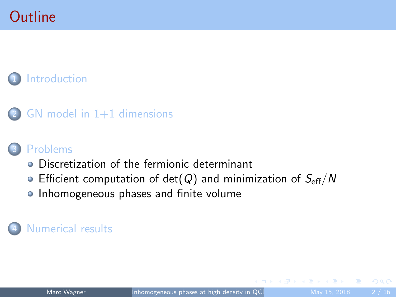## **Outline**

#### **[Introduction](#page-2-0)**



#### **[Problems](#page-6-0)**

- **•** [Discretization of the fermionic determinant](#page-6-0)
- [Efficient computation of det\(](#page-8-0) $Q$ ) and minimization of  $S_{\text{eff}}/N$
- **[Inhomogeneous phases and finite volume](#page-9-0)**

#### [Numerical results](#page-11-0)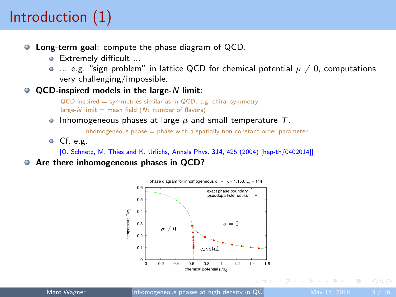# <span id="page-2-0"></span>Introduction (1)

- **C** Long-term goal: compute the phase diagram of QCD.
	- Extremely difficult ...
	- $\bullet$  ... e.g. "sign problem" in lattice QCD for chemical potential  $\mu \neq 0$ , computations very challenging/impossible.
- $\bullet$  QCD-inspired models in the large- $N$  limit:

QCD-inspired = symmetries similar as in QCD, e.g. chiral symmetry large-N limit  $=$  mean field  $(N:$  number of flavors)

**Inhomogeneous phases at large**  $\mu$  **and small temperature T.** 

 $inhomogeneous phase = phase with a spatially non-constant order parameter$ 

 $\bullet$  Cf. e.g.

[O. Schnetz, M. Thies and K. Urlichs, Annals Phys. 314, 425 (2004) [hep-th/0402014]]

Are there inhomogeneous phases in QCD?

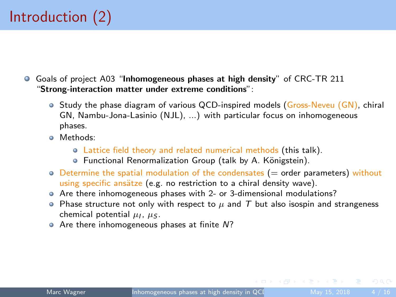- Goals of project A03 "Inhomogeneous phases at high density" of CRC-TR 211 "Strong-interaction matter under extreme conditions":
	- $\bullet$  Study the phase diagram of various QCD-inspired models (Gross-Neveu (GN), chiral GN, Nambu-Jona-Lasinio (NJL), ...) with particular focus on inhomogeneous phases.
	- **O** Methods:
		- Lattice field theory and related numerical methods (this talk).
		- **Functional Renormalization Group (talk by A. Königstein).**
	- $\circ$  Determine the spatial modulation of the condensates ( $=$  order parameters) without using specific ansätze (e.g. no restriction to a chiral density wave).
	- Are there inhomogeneous phases with 2- or 3-dimensional modulations?
	- Phase structure not only with respect to  $\mu$  and T but also isospin and strangeness chemical potential  $\mu_I$ ,  $\mu_S$ .
	- Are there inhomogeneous phases at finite N?

 $OQ$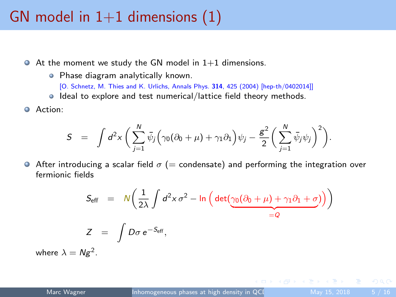## <span id="page-4-0"></span>GN model in  $1+1$  dimensions  $(1)$

- $\bullet$  At the moment we study the GN model in 1+1 dimensions.
	- Phase diagram analytically known.
		- [O. Schnetz, M. Thies and K. Urlichs, Annals Phys. 314, 425 (2004) [hep-th/0402014]]
	- Ideal to explore and test numerical/lattice field theory methods.
- Action:

$$
S = \int d^2x \left( \sum_{j=1}^N \bar{\psi}_j \left( \gamma_0 (\partial_0 + \mu) + \gamma_1 \partial_1 \right) \psi_j - \frac{g^2}{2} \left( \sum_{j=1}^N \bar{\psi}_j \psi_j \right)^2 \right).
$$

After introducing a scalar field  $\sigma$  (= condensate) and performing the integration over fermionic fields

$$
S_{\text{eff}} = N \left( \frac{1}{2\lambda} \int d^2 x \,\sigma^2 - \ln \left( \det \left( \underbrace{\gamma_0 (\partial_0 + \mu) + \gamma_1 \partial_1 + \sigma}_{=Q} \right) \right) \right)
$$
  

$$
Z = \int D\sigma \, e^{-S_{\text{eff}}},
$$

where  $\lambda = Ng^2$ .

 $\Omega$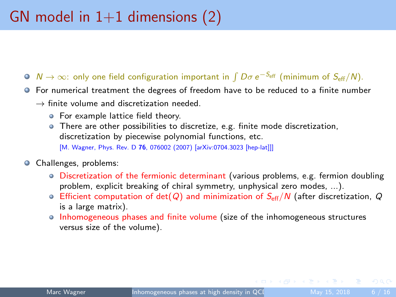- <span id="page-5-0"></span> $N \to \infty$ : only one field configuration important in  $\int D\sigma\, e^{-S_{\rm eff}}$  (minimum of  $S_{\rm eff}/N$ ).
- For numerical treatment the degrees of freedom have to be reduced to a finite number
	- $\rightarrow$  finite volume and discretization needed.
		- **•** For example lattice field theory.
		- There are other possibilities to discretize, e.g. finite mode discretization, discretization by piecewise polynomial functions, etc.

[M. Wagner, Phys. Rev. D 76, 076002 (2007) [arXiv:0704.3023 [hep-lat]]]

- **O** Challenges, problems:
	- Discretization of the fermionic determinant (various problems, e.g. fermion doubling problem, explicit breaking of chiral symmetry, unphysical zero modes, ...).
	- Efficient computation of det(Q) and minimization of  $S_{\text{eff}}/N$  (after discretization, Q is a large matrix).
	- Inhomogeneous phases and finite volume (size of the inhomogeneous structures versus size of the volume).

 $\Omega$ 

 $\mathcal{A} \oplus \mathcal{B} \rightarrow \mathcal{A} \oplus \mathcal{B} \rightarrow \mathcal{A} \oplus \mathcal{B}$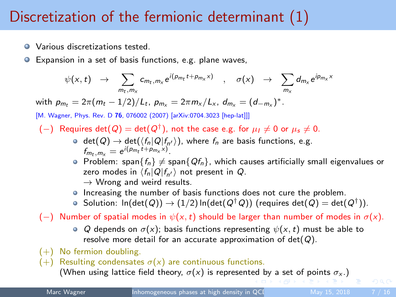# <span id="page-6-0"></span>Discretization of the fermionic determinant (1)

- **Q** Various discretizations tested.
- Expansion in a set of basis functions, e.g. plane waves,  $\bullet$

$$
\psi(x,t) \rightarrow \sum_{m_t,m_x} c_{m_t,m_x} e^{i(p_{m_t}t+p_{m_x}x)} \quad , \quad \sigma(x) \rightarrow \sum_{m_x} d_{m_x} e^{ip_{m_x}x}
$$

with  $p_{m_t} = 2\pi (m_t - 1/2)/L_t$ ,  $p_{m_x} = 2\pi m_x/L_x$ ,  $d_{m_x} = (d_{-m_x})^*$ .

[M. Wagner, Phys. Rev. D 76, 076002 (2007) [arXiv:0704.3023 [hep-lat]]]

- $(-)$  Requires det $(Q) = det(Q<sup>†</sup>)$ , not the case e.g. for  $\mu_I \neq 0$  or  $\mu_s \neq 0$ .
	- $\det(Q) \to \det(\langle f_n|Q|f_{n'}\rangle)$ , where  $f_n$  are basis functions, e.g.  $f_{m_t, m_x} = e^{i(p_{m_t}t + p_{m_x}x)}$ .
	- $\bullet$  Problem: span $\{f_n\}\neq$  span $\{Qf_n\}$ , which causes artificially small eigenvalues or zero modes in  $\langle f_n|Q|f_{n'}\rangle$  not present in Q.  $\rightarrow$  Wrong and weird results.
	- Increasing the number of basis functions does not cure the problem.
	- Solution:  $\ln(\det(Q)) \to (1/2) \ln(\det(Q^\dagger\, Q))$  (requires  $\det(Q) = \det(Q^\dagger))$ .

(-) Number of spatial modes in  $\psi(x, t)$  should be larger than number of modes in  $\sigma(x)$ .

- Q depends on  $\sigma(x)$ ; basis functions representing  $\psi(x, t)$  must be able to resolve more detail for an accurate approximation of  $det(Q)$ .
- $(+)$  No fermion doubling.
- (+) Resulting condensates  $\sigma(x)$  are continuous functions.

(When using l[a](#page-5-0)ttice [f](#page-5-0)ield the[o](#page-7-0)ry,  $\sigma(x)$  $\sigma(x)$  $\sigma(x)$  is represent[ed](#page-5-0) [by](#page-7-0) a [set](#page-6-0) [o](#page-7-0)f [p](#page-6-0)o[in](#page-8-0)[ts](#page-5-0)  $\sigma_x$ .)

 $OQ$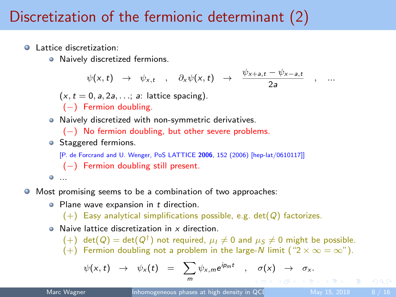# <span id="page-7-0"></span>Discretization of the fermionic determinant (2)

**Q** Lattice discretization:

Ο

٥

 $\bullet$ 

**•** Naively discretized fermions.

$$
\psi(x, t) \rightarrow \psi_{x, t} , \partial_x \psi(x, t) \rightarrow \frac{\psi_{x+a, t} - \psi_{x-a, t}}{2a} , \dots
$$
  
(x, t = 0, a, 2a, ...; a: lattice spacing).  
(-) Fermion doubling.  
Naively discretized with non-symmetric derivatives.  
(-) No fermion doubling, but other severe problems.  
Staggered fermions.  
[P. de Forcrand and U. Wenger, Pos LATICE 2006, 152 (2006) [hep-lat/0610117]]  
(-) Fermion doubling still present.  
...

#### $\bullet$ Most promising seems to be a combination of two approaches:

 $\bullet$  Plane wave expansion in  $t$  direction.

 $(+)$  Easy analytical simplifications possible, e.g. det( $Q$ ) factorizes.

**Q** Naive lattice discretization in x direction.

 $(+)$  det $(Q) = det(Q^{\dagger})$  not required,  $\mu_I \neq 0$  and  $\mu_S \neq 0$  might be possible. (+) Fermion doubling not a problem in the large-N limit (" $2 \times \infty = \infty$ ").

$$
\psi(x,t) \rightarrow \psi_x(t) = \sum_m \psi_{x,m} e^{ip_m t} , \sigma(x) \rightarrow \sigma_x.
$$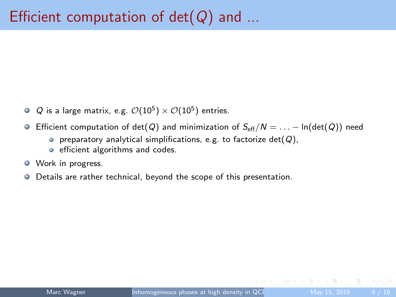- <span id="page-8-0"></span> $Q$  is a large matrix, e.g.  $\mathcal{O}(10^5)\times\mathcal{O}(10^5)$  entries.
- **■** Efficient computation of det(Q) and minimization of  $S_{\text{eff}}/N = ... \ln(\det(Q))$  need
	- $\bullet$  preparatory analytical simplifications, e.g. to factorize det( $Q$ ),
	- **e** efficient algorithms and codes.
- **O** Work in progress.
- Details are rather technical, beyond the scope of this presentation.  $\bullet$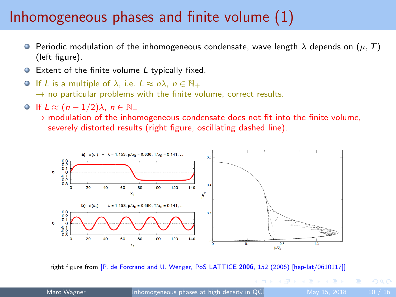## <span id="page-9-0"></span>Inhomogeneous phases and finite volume (1)

- **P** Periodic modulation of the inhomogeneous condensate, wave length  $\lambda$  depends on  $(\mu, T)$ (left figure).
- Extent of the finite volume L typically fixed.
- O If L is a multiple of  $\lambda$ , i.e.  $L \approx n\lambda$ ,  $n \in \mathbb{N}_+$  $\rightarrow$  no particular problems with the finite volume, correct results.
- $\bigcirc$  If  $L \approx (n-1/2)\lambda$ ,  $n \in \mathbb{N}_+$ 
	- $\rightarrow$  modulation of the inhomogeneous condensate does not fit into the finite volume. severely distorted results (right figure, oscillating dashed line).



right figure from [P. de Forcrand and U. Wenger, PoS LATTICE 2006, 152 (2006) [hep-lat/0610117]]

Marc Wagner **Inhomogeneous phases at high density in QCD** May 15, 2018 10 / 16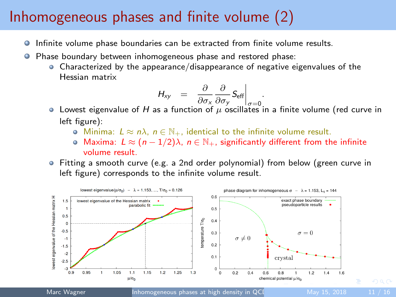### <span id="page-10-0"></span>Inhomogeneous phases and finite volume (2)

- Infinite volume phase boundaries can be extracted from finite volume results. 0
- Phase boundary between inhomogeneous phase and restored phase:
	- Characterized by the appearance/disappearance of negative eigenvalues of the Hessian matrix

$$
H_{xy} = \left. \frac{\partial}{\partial \sigma_x} \frac{\partial}{\partial \sigma_y} S_{\text{eff}} \right|_{\sigma=0}
$$

 $\frac{\partial \sigma_{\mathsf{x}}}{\partial \sigma_{\mathsf{x}}}\frac{\partial \sigma_{\mathsf{y}}}{\partial \tau}$  and  $\frac{\partial \sigma_{\mathsf{x}}}{\partial \sigma_{\mathsf{z}}}\frac{\partial \sigma_{\mathsf{z}}}{\partial \sigma_{\mathsf{z}}}$  in a finite volume (red curve in left figure):

.

- **•** Minima:  $L \approx n\lambda$ ,  $n \in \mathbb{N}_+$ , identical to the infinite volume result.
- $\bullet$  Maxima:  $L \approx (n-1/2)\lambda$ ,  $n \in \mathbb{N}_+$ , significantly different from the infinite volume result.
- Fitting a smooth curve (e.g. a 2nd order polynomial) from below (green curve in left figure) corresponds to the infinite volume result.

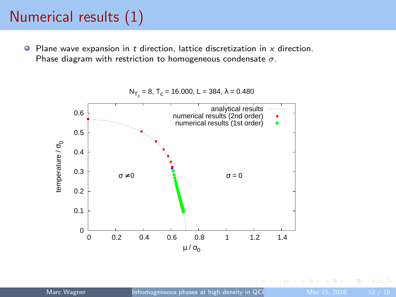# <span id="page-11-0"></span>Numerical results (1)

 $\bullet$  Plane wave expansion in t direction, lattice discretization in x direction. Phase diagram with restriction to homogeneous condensate  $\sigma$ .

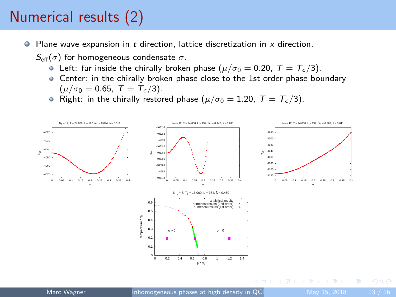# Numerical results (2)

- $\bullet$  Plane wave expansion in t direction, lattice discretization in x direction.
	- $S_{\text{eff}}(\sigma)$  for homogeneous condensate  $\sigma$ .
		- **•** Left: far inside the chirally broken phase ( $\mu/\sigma_0 = 0.20$ ,  $T = T_c/3$ ).
		- Center: in the chirally broken phase close to the 1st order phase boundary  $(\mu/\sigma_0 = 0.65, T = T_c/3).$
		- Right: in the chirally restored phase ( $\mu/\sigma_0 = 1.20$ ,  $T = T_c/3$ ).



 $\Omega$ 

イ押 トマミト マミト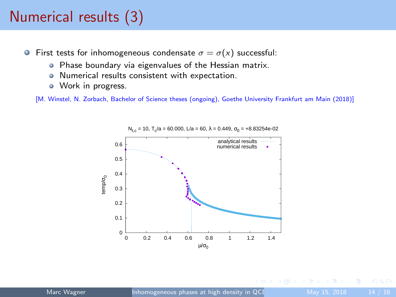# Numerical results (3)

- **•** First tests for inhomogeneous condensate  $\sigma = \sigma(x)$  successful:
	- **•** Phase boundary via eigenvalues of the Hessian matrix.
	- Numerical results consistent with expectation.
	- Work in progress.

[M. Winstel, N. Zorbach, Bachelor of Science theses (ongoing), Goethe University Frankfurt am Main (2018)]



 $N_{t,c}$  = 10, T<sub>c</sub>/a = 60.000, L/a = 60, λ = 0.449, σ<sub>0</sub> = +8.83254e-02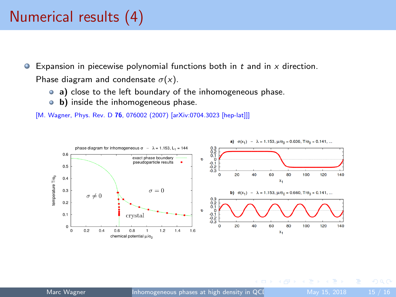## Numerical results (4)

- Expansion in piecewise polynomial functions both in  $t$  and in  $x$  direction.  $\bullet$ Phase diagram and condensate  $\sigma(x)$ .
	- a) close to the left boundary of the inhomogeneous phase.
	- **b**) inside the inhomogeneous phase.

[M. Wagner, Phys. Rev. D 76, 076002 (2007) [arXiv:0704.3023 [hep-lat]]]